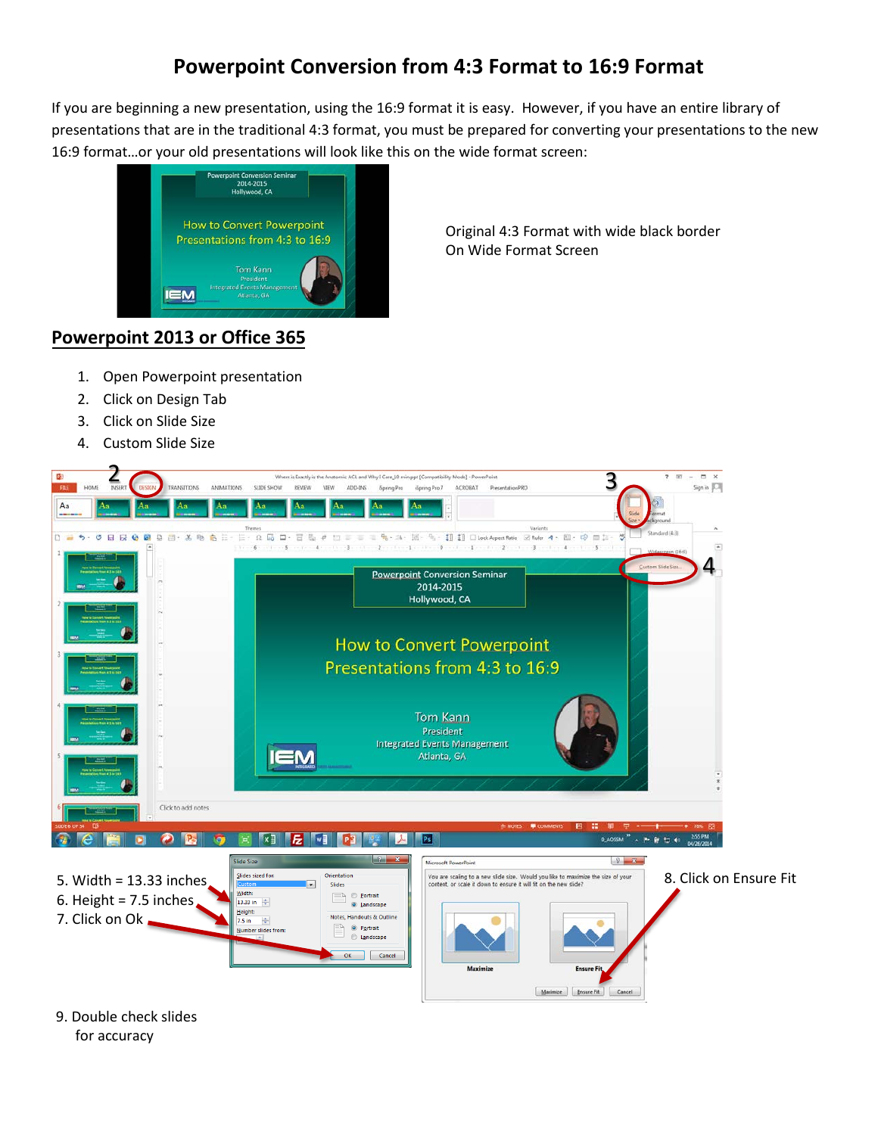## **Powerpoint Conversion from 4:3 Format to 16:9 Format**

If you are beginning a new presentation, using the 16:9 format it is easy. However, if you have an entire library of presentations that are in the traditional 4:3 format, you must be prepared for converting your presentations to the new 16:9 format…or your old presentations will look like this on the wide format screen:



Original 4:3 Format with wide black border On Wide Format Screen

## **Powerpoint 2013 or Office 365**

- 1. Open Powerpoint presentation
- 2. Click on Design Tab
- 3. Click on Slide Size
- 4. Custom Slide Size



9. Double check slides for accuracy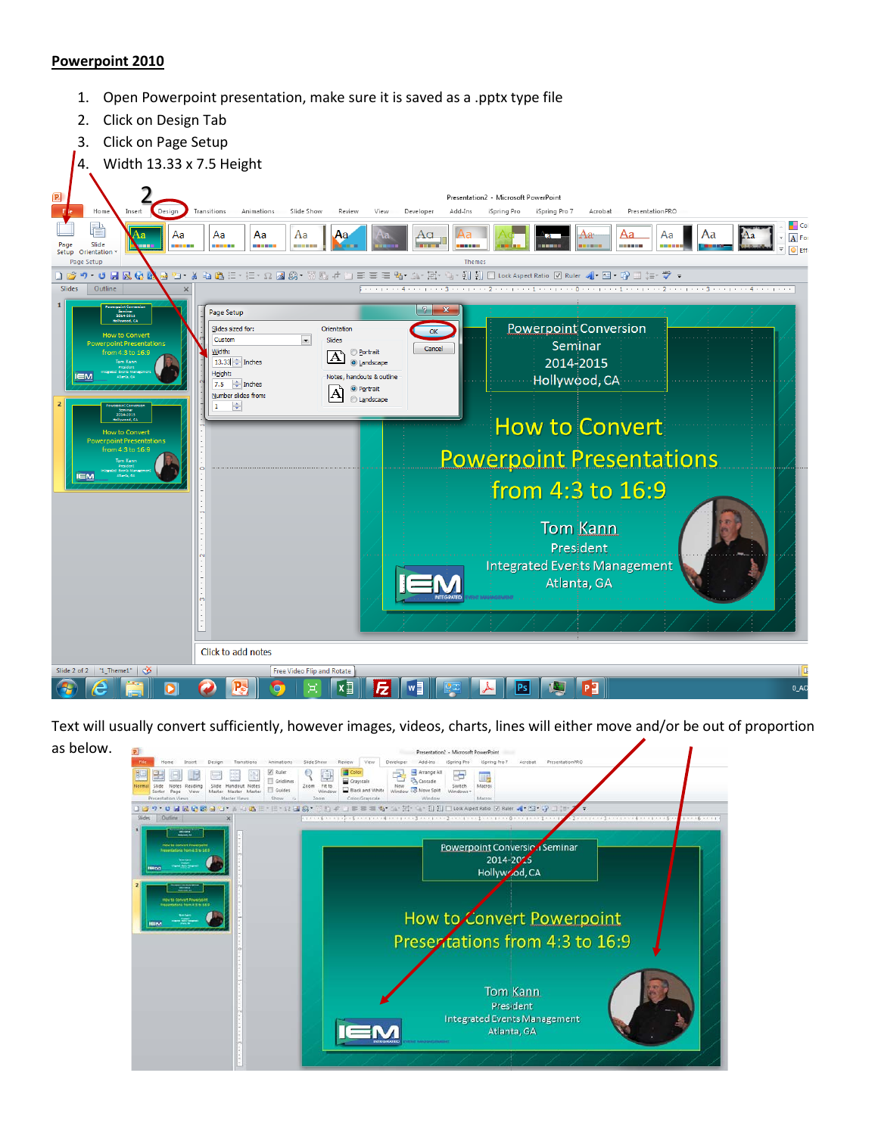## **Powerpoint 2010**

- 1. Open Powerpoint presentation, make sure it is saved as a .pptx type file
- 2. Click on Design Tab
- 3. Click on Page Setup



Text will usually convert sufficiently, however images, videos, charts, lines will either move and/or be out of proportion as below. Presentation2 - Microsoft PowerPoint